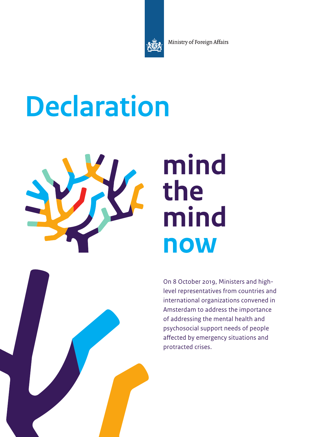Ministry of Foreign Affairs

# **Declaration**



# mind the mind **now**

On 8 October 2019, Ministers and highlevel representatives from countries and international organizations convened in Amsterdam to address the importance of addressing the mental health and psychosocial support needs of people affected by emergency situations and protracted crises.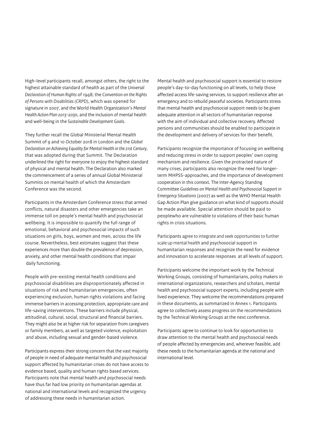High-level participants recall, amongst others, the right to the highest attainable standard of health as part of the *Universal Declaration of Human Rights* of 1948; the *Convention on the Rights of Persons with Disabilities (CRPD)*, which was opened for signature in 2007, and the World Health Organization's *Mental Health Action Plan 2013-2030*, and the inclusion of mental health and well-being in the *Sustainable Development Goals*.

They further recall the Global Ministerial Mental Health Summit of 9 and 10 October 2018 in London and the *Global Declaration on Achieving Equality for Mental Health in the 21st Century*, that was adopted during that Summit. The Declaration underlined the right for everyone to enjoy the highest standard of physical and mental health. The Declaration also marked the commencement of a series of annual Global Ministerial Summits on mental health of which the Amsterdam Conference was the second.

Participants in the Amsterdam Conference stress that armed conflicts, natural disasters and other emergencies take an immense toll on people's mental health and psychosocial wellbeing. It is impossible to quantify the full range of emotional, behavioral and psychosocial impacts of such situations on girls, boys, women and men, across the life course. Nevertheless, best estimates suggest that these experiences more than double the prevalence of depression, anxiety, and other mental health conditions that impair daily functioning.

People with pre-existing mental health conditions and psychosocial disabilities are disproportionately affected in situations of risk and humanitarian emergencies, often experiencing exclusion, human rights violations and facing immense barriers in accessing protection, appropriate care and life-saving interventions. These barriers include physical, attitudinal, cultural, social, structural and financial barriers. They might also be at higher risk for separation from caregivers or family members, as well as targeted violence, exploitation and abuse, including sexual and gender-based violence.

Participants express their strong concern that the vast majority of people in need of adequate mental health and psychosocial support affected by humanitarian crises do not have access to evidence based, quality and human rights based services. Participants note that mental health and psychosocial needs have thus far had low priority on humanitarian agendas at national and international levels and recognized the urgency of addressing these needs in humanitarian action.

Mental health and psychosocial support is essential to restore people's day-to-day functioning on all levels, to help those affected access life-saving services, to support resilience after an emergency and to rebuild peaceful societies. Participants stress that mental health and psychosocial support needs to be given adequate attention in all sectors of humanitarian response with the aim of individual and collective recovery. Affected persons and communities should be enabled to participate in the development and delivery of services for their benefit.

Participants recognize the importance of focusing on wellbeing and reducing stress in order to support peoples' own coping mechanism and resilience. Given the protracted nature of many crises, participants also recognize the need for longerterm MHPSS-approaches, and the importance of development cooperation in this context. The Inter-Agency Standing Committee *Guidelines on Mental Health and Psychosocial Support in Emergency Situations* (2007) as well as the WHO Mental Health Gap Action Plan give guidance on what kind of supports should be made available. Special attention should be paid to peoplewho are vulnerable to violations of their basic human rights in crisis situations.

Participants agree to integrate and seek opportunities to further scale up mental health and psychosocial support in humanitarian responses and recognize the need for evidence and innovation to accelerate responses at all levels of support.

Participants welcome the important work by the Technical Working Groups, consisting of humanitarians, policy makers in international organizations, researchers and scholars, mental health and psychosocial support experts, including people with lived experience. They welcome the recommendations prepared in these documents, as summarized in Annex 1. Participants agree to collectively assess progress on the recommendations by the Technical Working Groups at the next conference.

Participants agree to continue to look for opportunities to draw attention to the mental health and psychosocial needs of people affected by emergencies and, wherever feasible, add these needs to the humanitarian agenda at the national and international level.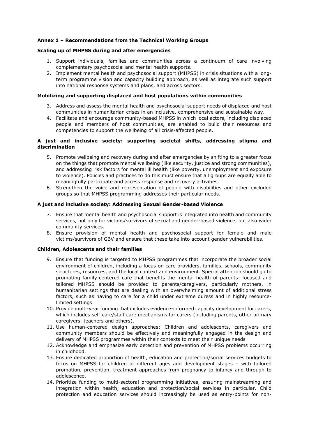# Annex 1 – Recommendations from the Technical Working Groups

# Scaling up of MHPSS during and after emergencies

- 1. Support individuals, families and communities across a continuum of care involving complementary psychosocial and mental health supports.
- 2. Implement mental health and psychosocial support (MHPSS) in crisis situations with a longterm programme vision and capacity building approach, as well as integrate such support into national response systems and plans, and across sectors.

# Mobilizing and supporting displaced and host populations within communities

- 3. Address and assess the mental health and psychosocial support needs of displaced and host communities in humanitarian crises in an inclusive, comprehensive and sustainable way.
- 4. Facilitate and encourage community-based MHPSS in which local actors, including displaced people and members of host communities, are enabled to build their resources and competencies to support the wellbeing of all crisis-affected people.

# A just and inclusive society: supporting societal shifts, addressing stigma and discrimination

- 5. Promote wellbeing and recovery during and after emergencies by shifting to a greater focus on the things that promote mental wellbeing (like security, justice and strong communities), and addressing risk factors for mental ill health (like poverty, unemployment and exposure to violence). Policies and practices to do this must ensure that all groups are equally able to meaningfully participate and access response and recovery activities.
- 6. Strengthen the voice and representation of people with disabilities and other excluded groups so that MHPSS programming addresses their particular needs.

# A just and inclusive society: Addressing Sexual Gender-based Violence

- 7. Ensure that mental health and psychosocial support is integrated into health and community services, not only for victims/survivors of sexual and gender-based violence, but also wider community services.
- 8. Ensure provision of mental health and psychosocial support for female and male victims/survivors of GBV and ensure that these take into account gender vulnerabilities.

#### Children, Adolescents and their families

- 9. Ensure that funding is targeted to MHPSS programmes that incorporate the broader social environment of children, including a focus on care providers, families, schools, community structures, resources, and the local context and environment. Special attention should go to promoting family-centered care that benefits the mental health of parents: focused and tailored MHPSS should be provided to parents/caregivers, particularly mothers, in humanitarian settings that are dealing with an overwhelming amount of additional stress factors, such as having to care for a child under extreme duress and in highly resourcelimited settings.
- 10. Provide multi-year funding that includes evidence-informed capacity development for carers, which includes self-care/staff care mechanisms for carers (including parents, other primary caregivers, teachers and others).
- 11. Use human-centered design approaches: Children and adolescents, caregivers and community members should be effectively and meaningfully engaged in the design and delivery of MHPSS programmes within their contexts to meet their unique needs
- 12. Acknowledge and emphasize early detection and prevention of MHPSS problems occurring in childhood.
- 13. Ensure dedicated proportion of health, education and protection/social services budgets to focus on MHPSS for children of different ages and development stages – with tailored promotion, prevention, treatment approaches from pregnancy to infancy and through to adolescence.
- 14. Prioritize funding to multi-sectoral programming initiatives, ensuring mainstreaming and integration within health, education and protection/social services in particular. Child protection and education services should increasingly be used as entry-points for non-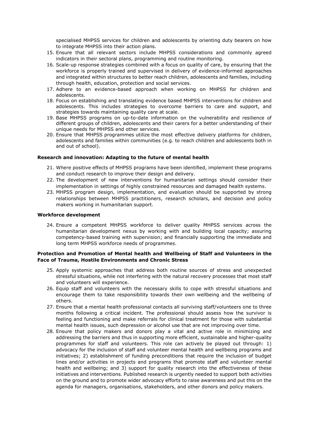specialised MHPSS services for children and adolescents by orienting duty bearers on how to integrate MHPSS into their action plans.

- 15. Ensure that all relevant sectors include MHPSS considerations and commonly agreed indicators in their sectoral plans, programming and routine monitoring.
- 16. Scale-up response strategies combined with a focus on quality of care, by ensuring that the workforce is properly trained and supervised in delivery of evidence-informed approaches and integrated within structures to better reach children, adolescents and families, including through health, education, protection and social services.
- 17. Adhere to an evidence-based approach when working on MHPSS for children and adolescents.
- 18. Focus on establishing and translating evidence based MHPSS interventions for children and adolescents. This includes strategies to overcome barriers to care and support, and strategies towards maintaining quality care at scale.
- 19. Base MHPSS programs on up-to-date information on the vulnerability and resilience of different groups of children, adolescents and their carers for a better understanding of their unique needs for MHPSS and other services.
- 20. Ensure that MHPSS programmes utilize the most effective delivery platforms for children, adolescents and families within communities (e.g. to reach children and adolescents both in and out of school).

# Research and innovation: Adapting to the future of mental health

- 21. Where positive effects of MHPSS programs have been identified, implement these programs and conduct research to improve their design and delivery.
- 22. The development of new interventions for humanitarian settings should consider their implementation in settings of highly constrained resources and damaged health systems.
- 23. MHPSS program design, implementation, and evaluation should be supported by strong relationships between MHPSS practitioners, research scholars, and decision and policy makers working in humanitarian support.

#### Workforce development

24. Ensure a competent MHPSS workforce to deliver quality MHPSS services across the humanitarian development nexus by working with and building local capacity; assuring competency-based training with supervision; and financially supporting the immediate and long term MHPSS workforce needs of programmes.

# Protection and Promotion of Mental health and Wellbeing of Staff and Volunteers in the Face of Trauma, Hostile Environments and Chronic Stress

- 25. Apply systemic approaches that address both routine sources of stress and unexpected stressful situations, while not interfering with the natural recovery processes that most staff and volunteers will experience.
- 26. Equip staff and volunteers with the necessary skills to cope with stressful situations and encourage them to take responsibility towards their own wellbeing and the wellbeing of others.
- 27. Ensure that a mental health professional contacts all surviving staff/volunteers one to three months following a critical incident. The professional should assess how the survivor is feeling and functioning and make referrals for clinical treatment for those with substantial mental health issues, such depression or alcohol use that are not improving over time.
- 28. Ensure that policy makers and donors play a vital and active role in minimizing and addressing the barriers and thus in supporting more efficient, sustainable and higher-quality programmes for staff and volunteers. This role can actively be played out through: 1) advocacy for the inclusion of staff and volunteer mental health and wellbeing programs and initiatives; 2) establishment of funding preconditions that require the inclusion of budget lines and/or activities in projects and programs that promote staff and volunteer mental health and wellbeing; and 3) support for quality research into the effectiveness of these initiatives and interventions. Published research is urgently needed to support both activities on the ground and to promote wider advocacy efforts to raise awareness and put this on the agenda for managers, organisations, stakeholders, and other donors and policy makers.